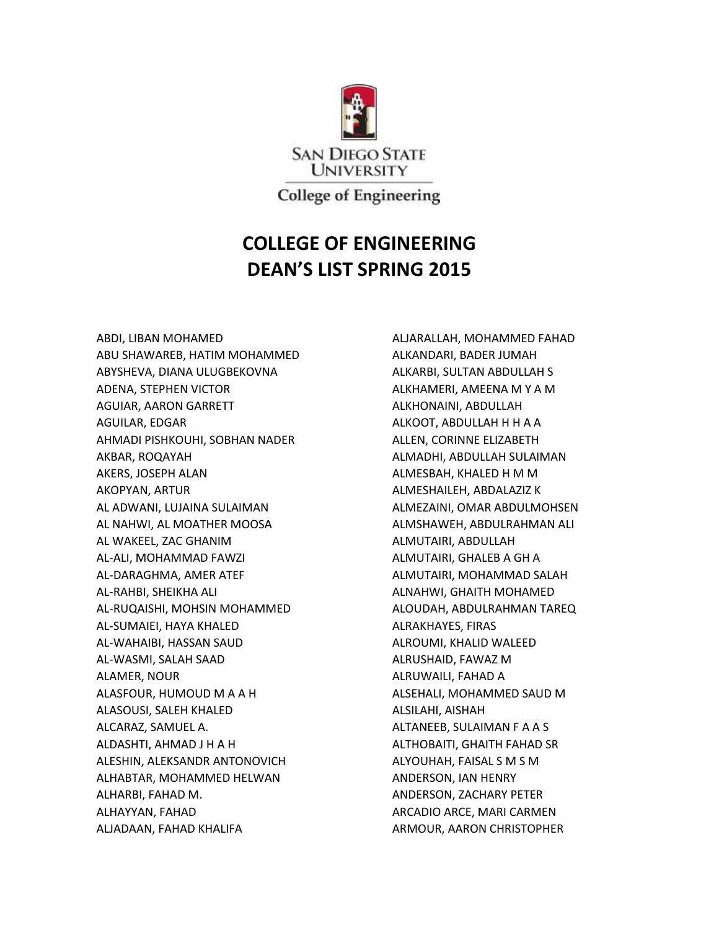

**College of Engineering** 

## **COLLEGE OF ENGINEERING DEAN'S LIST SPRING 2015**

ABDI, LIBAN MOHAMED ABU SHAWAREB, HATIM MOHAMMED ABYSHEVA, DIANA ULUGBEKOVNA ADENA, STEPHEN VICTOR AGUIAR, AARON GARRETT AGUILAR, EDGAR AHMADI PISHKOUHI, SOBHAN NADER AKBAR, ROQAYAH AKERS, JOSEPH ALAN AKOPYAN, ARTUR AL ADWANI, LUJAINA SULAIMAN AL NAHWI, AL MOATHER MOOSA AL WAKEEL, ZAC GHANIM AL-ALI, MOHAMMAD FAWZI AL-DARAGHMA, AMER ATEF AL-RAHBI, SHEIKHA ALI AL-RUQAISHI, MOHSIN MOHAMMED AL-SUMAIEI, HAYA KHALED AL-WAHAIBI, HASSAN SAUD AL-WASMI, SALAH SAAD ALAMER, NOUR ALASFOUR, HUMOUD M A A H ALASOUSI, SALEH KHALED ALCARAZ, SAMUEL A. ALDASHTI, AHMAD J H A H ALESHIN, ALEKSANDR ANTONOVICH ALHABTAR, MOHAMMED HELWAN ALHARBI, FAHAD M. ALHAYYAN, FAHAD ALJADAAN, FAHAD KHALIFA

ALJARALLAH, MOHAMMED FAHAD ALKANDARI, BADER JUMAH ALKARBI, SULTAN ABDULLAH S ALKHAMERI, AMEENA M Y A M ALKHONAINI, ABDULLAH ALKOOT, ABDULLAH H H A A ALLEN, CORINNE ELIZABETH ALMADHI, ABDULLAH SULAIMAN ALMESBAH, KHALED H M M ALMESHAILEH, ABDALAZIZ K ALMEZAINI, OMAR ABDULMOHSEN ALMSHAWEH, ABDULRAHMAN ALI ALMUTAIRI, ABDULLAH ALMUTAIRI, GHALEB A GH A ALMUTAIRI, MOHAMMAD SALAH ALNAHWI, GHAITH MOHAMED ALOUDAH, ABDULRAHMAN TAREQ ALRAKHAYES, FIRAS ALROUMI, KHALID WALEED ALRUSHAID, FAWAZ M ALRUWAILI, FAHAD A ALSEHALI, MOHAMMED SAUD M ALSILAHI, AISHAH ALTANEEB, SULAIMAN F A A S ALTHOBAITI, GHAITH FAHAD SR ALYOUHAH, FAISAL S M S M ANDERSON, IAN HENRY ANDERSON, ZACHARY PETER ARCADIO ARCE, MARI CARMEN ARMOUR, AARON CHRISTOPHER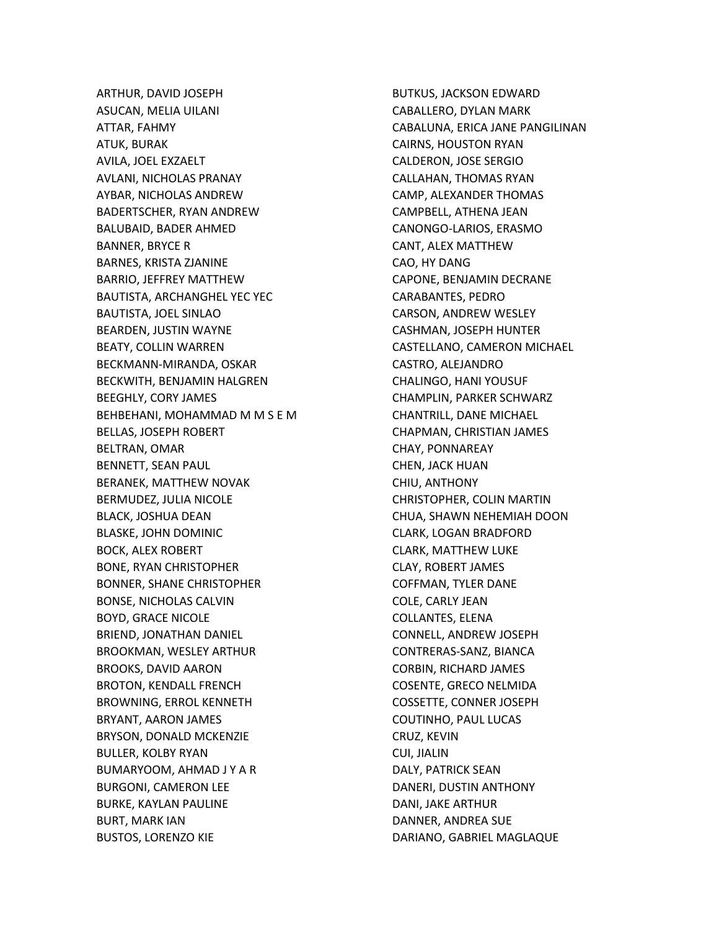ARTHUR, DAVID JOSEPH ASUCAN, MELIA UILANI ATTAR, FAHMY ATUK, BURAK AVILA, JOEL EXZAELT AVLANI, NICHOLAS PRANAY AYBAR, NICHOLAS ANDREW BADERTSCHER, RYAN ANDREW BALUBAID, BADER AHMED BANNER, BRYCE R BARNES, KRISTA ZJANINE BARRIO, JEFFREY MATTHEW BAUTISTA, ARCHANGHEL YEC YEC BAUTISTA, JOEL SINLAO BEARDEN, JUSTIN WAYNE BEATY, COLLIN WARREN BECKMANN-MIRANDA, OSKAR BECKWITH, BENJAMIN HALGREN BEEGHLY, CORY JAMES BEHBEHANI, MOHAMMAD M M S E M BELLAS, JOSEPH ROBERT BELTRAN, OMAR BENNETT, SEAN PAUL BERANEK, MATTHEW NOVAK BERMUDEZ, JULIA NICOLE BLACK, JOSHUA DEAN BLASKE, JOHN DOMINIC BOCK, ALEX ROBERT BONE, RYAN CHRISTOPHER BONNER, SHANE CHRISTOPHER BONSE, NICHOLAS CALVIN BOYD, GRACE NICOLE BRIEND, JONATHAN DANIEL BROOKMAN, WESLEY ARTHUR BROOKS, DAVID AARON BROTON, KENDALL FRENCH BROWNING, ERROL KENNETH BRYANT, AARON JAMES BRYSON, DONALD MCKENZIE BULLER, KOLBY RYAN BUMARYOOM, AHMAD J Y A R BURGONI, CAMERON LEE BURKE, KAYLAN PAULINE BURT, MARK IAN BUSTOS, LORENZO KIE

BUTKUS, JACKSON EDWARD CABALLERO, DYLAN MARK CABALUNA, ERICA JANE PANGILINAN CAIRNS, HOUSTON RYAN CALDERON, JOSE SERGIO CALLAHAN, THOMAS RYAN CAMP, ALEXANDER THOMAS CAMPBELL, ATHENA JEAN CANONGO-LARIOS, ERASMO CANT, ALEX MATTHEW CAO, HY DANG CAPONE, BENJAMIN DECRANE CARABANTES, PEDRO CARSON, ANDREW WESLEY CASHMAN, JOSEPH HUNTER CASTELLANO, CAMERON MICHAEL CASTRO, ALEJANDRO CHALINGO, HANI YOUSUF CHAMPLIN, PARKER SCHWARZ CHANTRILL, DANE MICHAEL CHAPMAN, CHRISTIAN JAMES CHAY, PONNAREAY CHEN, JACK HUAN CHIU, ANTHONY CHRISTOPHER, COLIN MARTIN CHUA, SHAWN NEHEMIAH DOON CLARK, LOGAN BRADFORD CLARK, MATTHEW LUKE CLAY, ROBERT JAMES COFFMAN, TYLER DANE COLE, CARLY JEAN COLLANTES, ELENA CONNELL, ANDREW JOSEPH CONTRERAS-SANZ, BIANCA CORBIN, RICHARD JAMES COSENTE, GRECO NELMIDA COSSETTE, CONNER JOSEPH COUTINHO, PAUL LUCAS CRUZ, KEVIN CUI, JIALIN DALY, PATRICK SEAN DANERI, DUSTIN ANTHONY DANI, JAKE ARTHUR DANNER, ANDREA SUE DARIANO, GABRIEL MAGLAQUE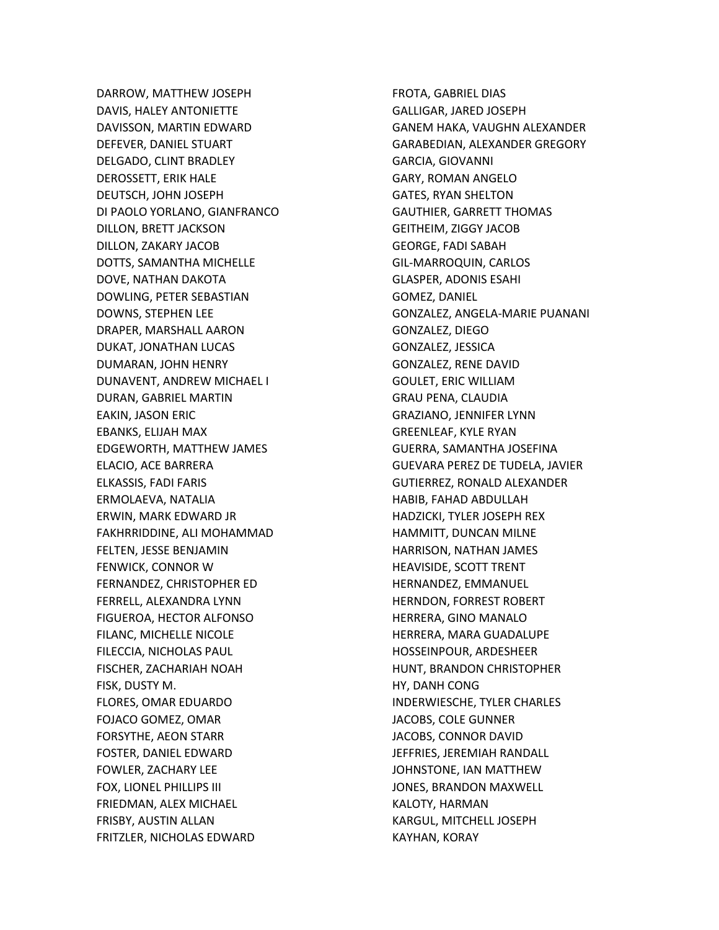DARROW, MATTHEW JOSEPH DAVIS, HALEY ANTONIETTE DAVISSON, MARTIN EDWARD DEFEVER, DANIEL STUART DELGADO, CLINT BRADLEY DEROSSETT, ERIK HALE DEUTSCH, JOHN JOSEPH DI PAOLO YORLANO, GIANFRANCO DILLON, BRETT JACKSON DILLON, ZAKARY JACOB DOTTS, SAMANTHA MICHELLE DOVE, NATHAN DAKOTA DOWLING, PETER SEBASTIAN DOWNS, STEPHEN LEE DRAPER, MARSHALL AARON DUKAT, JONATHAN LUCAS DUMARAN, JOHN HENRY DUNAVENT, ANDREW MICHAEL I DURAN, GABRIEL MARTIN EAKIN, JASON ERIC EBANKS, ELIJAH MAX EDGEWORTH, MATTHEW JAMES ELACIO, ACE BARRERA ELKASSIS, FADI FARIS ERMOLAEVA, NATALIA ERWIN, MARK EDWARD JR FAKHRRIDDINE, ALI MOHAMMAD FELTEN, JESSE BENJAMIN FENWICK, CONNOR W FERNANDEZ, CHRISTOPHER ED FERRELL, ALEXANDRA LYNN FIGUEROA, HECTOR ALFONSO FILANC, MICHELLE NICOLE FILECCIA, NICHOLAS PAUL FISCHER, ZACHARIAH NOAH FISK, DUSTY M. FLORES, OMAR EDUARDO FOJACO GOMEZ, OMAR FORSYTHE, AEON STARR FOSTER, DANIEL EDWARD FOWLER, ZACHARY LEE FOX, LIONEL PHILLIPS III FRIEDMAN, ALEX MICHAEL FRISBY, AUSTIN ALLAN FRITZLER, NICHOLAS EDWARD

FROTA, GABRIEL DIAS GALLIGAR, JARED JOSEPH GANEM HAKA, VAUGHN ALEXANDER GARABEDIAN, ALEXANDER GREGORY GARCIA, GIOVANNI GARY, ROMAN ANGELO GATES, RYAN SHELTON GAUTHIER, GARRETT THOMAS GEITHEIM, ZIGGY JACOB GEORGE, FADI SABAH GIL-MARROQUIN, CARLOS GLASPER, ADONIS ESAHI GOMEZ, DANIEL GONZALEZ, ANGELA-MARIE PUANANI GONZALEZ, DIEGO GONZALEZ, JESSICA GONZALEZ, RENE DAVID GOULET, ERIC WILLIAM GRAU PENA, CLAUDIA GRAZIANO, JENNIFER LYNN GREENLEAF, KYLE RYAN GUERRA, SAMANTHA JOSEFINA GUEVARA PEREZ DE TUDELA, JAVIER GUTIERREZ, RONALD ALEXANDER HABIB, FAHAD ABDULLAH HADZICKI, TYLER JOSEPH REX HAMMITT, DUNCAN MILNE HARRISON, NATHAN JAMES HEAVISIDE, SCOTT TRENT HERNANDEZ, EMMANUEL HERNDON, FORREST ROBERT HERRERA, GINO MANALO HERRERA, MARA GUADALUPE HOSSEINPOUR, ARDESHEER HUNT, BRANDON CHRISTOPHER HY, DANH CONG INDERWIESCHE, TYLER CHARLES JACOBS, COLE GUNNER JACOBS, CONNOR DAVID JEFFRIES, JEREMIAH RANDALL JOHNSTONE, IAN MATTHEW JONES, BRANDON MAXWELL KALOTY, HARMAN KARGUL, MITCHELL JOSEPH KAYHAN, KORAY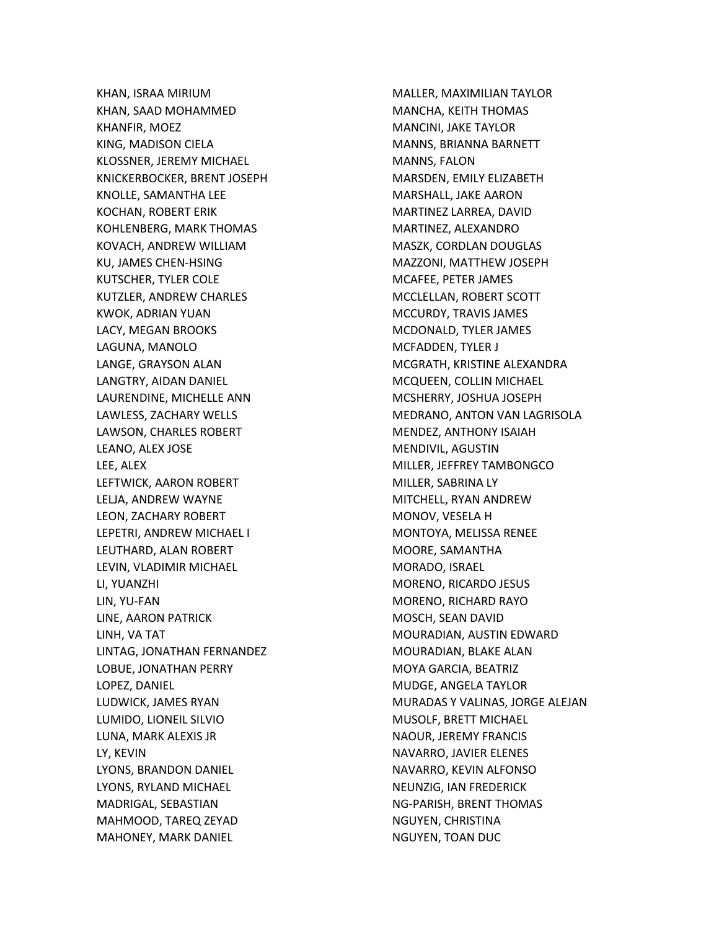KHAN, ISRAA MIRIUM KHAN, SAAD MOHAMMED KHANFIR, MOEZ KING, MADISON CIELA KLOSSNER, JEREMY MICHAEL KNICKERBOCKER, BRENT JOSEPH KNOLLE, SAMANTHA LEE KOCHAN, ROBERT ERIK KOHLENBERG, MARK THOMAS KOVACH, ANDREW WILLIAM KU, JAMES CHEN-HSING KUTSCHER, TYLER COLE KUTZLER, ANDREW CHARLES KWOK, ADRIAN YUAN LACY, MEGAN BROOKS LAGUNA, MANOLO LANGE, GRAYSON ALAN LANGTRY, AIDAN DANIEL LAURENDINE, MICHELLE ANN LAWLESS, ZACHARY WELLS LAWSON, CHARLES ROBERT LEANO, ALEX JOSE LEE, ALEX LEFTWICK, AARON ROBERT LELJA, ANDREW WAYNE LEON, ZACHARY ROBERT LEPETRI, ANDREW MICHAEL I LEUTHARD, ALAN ROBERT LEVIN, VLADIMIR MICHAEL LI, YUANZHI LIN, YU-FAN LINE, AARON PATRICK LINH, VA TAT LINTAG, JONATHAN FERNANDEZ LOBUE, JONATHAN PERRY LOPEZ, DANIEL LUDWICK, JAMES RYAN LUMIDO, LIONEIL SILVIO LUNA, MARK ALEXIS JR LY, KEVIN LYONS, BRANDON DANIEL LYONS, RYLAND MICHAEL MADRIGAL, SEBASTIAN MAHMOOD, TAREQ ZEYAD MAHONEY, MARK DANIEL

MALLER, MAXIMILIAN TAYLOR MANCHA, KEITH THOMAS MANCINI, JAKE TAYLOR MANNS, BRIANNA BARNETT MANNS, FALON MARSDEN, EMILY ELIZABETH MARSHALL, JAKE AARON MARTINEZ LARREA, DAVID MARTINEZ, ALEXANDRO MASZK, CORDLAN DOUGLAS MAZZONI, MATTHEW JOSEPH MCAFEE, PETER JAMES MCCLELLAN, ROBERT SCOTT MCCURDY, TRAVIS JAMES MCDONALD, TYLER JAMES MCFADDEN, TYLER J MCGRATH, KRISTINE ALEXANDRA MCQUEEN, COLLIN MICHAEL MCSHERRY, JOSHUA JOSEPH MEDRANO, ANTON VAN LAGRISOLA MENDEZ, ANTHONY ISAIAH MENDIVIL, AGUSTIN MILLER, JEFFREY TAMBONGCO MILLER, SABRINA LY MITCHELL, RYAN ANDREW MONOV, VESELA H MONTOYA, MELISSA RENEE MOORE, SAMANTHA MORADO, ISRAEL MORENO, RICARDO JESUS MORENO, RICHARD RAYO MOSCH, SEAN DAVID MOURADIAN, AUSTIN EDWARD MOURADIAN, BLAKE ALAN MOYA GARCIA, BEATRIZ MUDGE, ANGELA TAYLOR MURADAS Y VALINAS, JORGE ALEJAN MUSOLF, BRETT MICHAEL NAOUR, JEREMY FRANCIS NAVARRO, JAVIER ELENES NAVARRO, KEVIN ALFONSO NEUNZIG, IAN FREDERICK NG-PARISH, BRENT THOMAS NGUYEN, CHRISTINA NGUYEN, TOAN DUC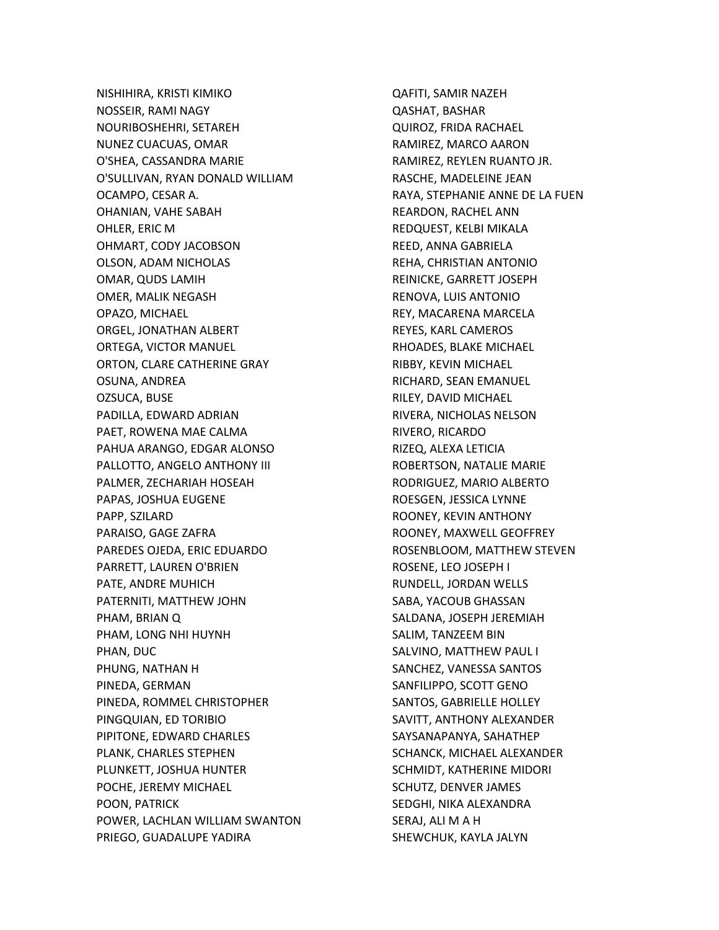NISHIHIRA, KRISTI KIMIKO NOSSEIR, RAMI NAGY NOURIBOSHEHRI, SETAREH NUNEZ CUACUAS, OMAR O'SHEA, CASSANDRA MARIE O'SULLIVAN, RYAN DONALD WILLIAM OCAMPO, CESAR A. OHANIAN, VAHE SABAH OHLER, ERIC M OHMART, CODY JACOBSON OLSON, ADAM NICHOLAS OMAR, QUDS LAMIH OMER, MALIK NEGASH OPAZO, MICHAEL ORGEL, JONATHAN ALBERT ORTEGA, VICTOR MANUEL ORTON, CLARE CATHERINE GRAY OSUNA, ANDREA OZSUCA, BUSE PADILLA, EDWARD ADRIAN PAET, ROWENA MAE CALMA PAHUA ARANGO, EDGAR ALONSO PALLOTTO, ANGELO ANTHONY III PALMER, ZECHARIAH HOSEAH PAPAS, JOSHUA EUGENE PAPP, SZILARD PARAISO, GAGE ZAFRA PAREDES OJEDA, ERIC EDUARDO PARRETT, LAUREN O'BRIEN PATE, ANDRE MUHICH PATERNITI, MATTHEW JOHN PHAM, BRIAN Q PHAM, LONG NHI HUYNH PHAN, DUC PHUNG, NATHAN H PINEDA, GERMAN PINEDA, ROMMEL CHRISTOPHER PINGQUIAN, ED TORIBIO PIPITONE, EDWARD CHARLES PLANK, CHARLES STEPHEN PLUNKETT, JOSHUA HUNTER POCHE, JEREMY MICHAEL POON, PATRICK POWER, LACHLAN WILLIAM SWANTON PRIEGO, GUADALUPE YADIRA

QAFITI, SAMIR NAZEH QASHAT, BASHAR QUIROZ, FRIDA RACHAEL RAMIREZ, MARCO AARON RAMIREZ, REYLEN RUANTO JR. RASCHE, MADELEINE JEAN RAYA, STEPHANIE ANNE DE LA FUEN REARDON, RACHEL ANN REDQUEST, KELBI MIKALA REED, ANNA GABRIELA REHA, CHRISTIAN ANTONIO REINICKE, GARRETT JOSEPH RENOVA, LUIS ANTONIO REY, MACARENA MARCELA REYES, KARL CAMEROS RHOADES, BLAKE MICHAEL RIBBY, KEVIN MICHAEL RICHARD, SEAN EMANUEL RILEY, DAVID MICHAEL RIVERA, NICHOLAS NELSON RIVERO, RICARDO RIZEQ, ALEXA LETICIA ROBERTSON, NATALIE MARIE RODRIGUEZ, MARIO ALBERTO ROESGEN, JESSICA LYNNE ROONEY, KEVIN ANTHONY ROONEY, MAXWELL GEOFFREY ROSENBLOOM, MATTHEW STEVEN ROSENE, LEO JOSEPH I RUNDELL, JORDAN WELLS SABA, YACOUB GHASSAN SALDANA, JOSEPH JEREMIAH SALIM, TANZEEM BIN SALVINO, MATTHEW PAUL I SANCHEZ, VANESSA SANTOS SANFILIPPO, SCOTT GENO SANTOS, GABRIELLE HOLLEY SAVITT, ANTHONY ALEXANDER SAYSANAPANYA, SAHATHEP SCHANCK, MICHAEL ALEXANDER SCHMIDT, KATHERINE MIDORI SCHUTZ, DENVER JAMES SEDGHI, NIKA ALEXANDRA SERAJ, ALI M A H SHEWCHUK, KAYLA JALYN